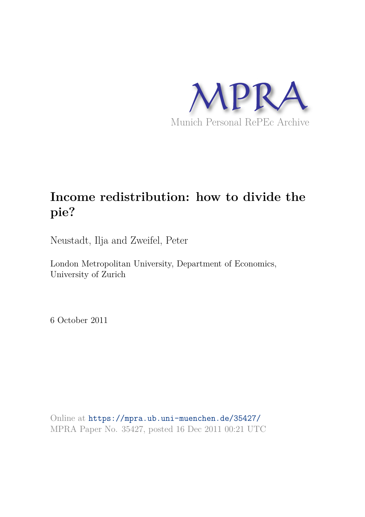

# **Income redistribution: how to divide the pie?**

Neustadt, Ilja and Zweifel, Peter

London Metropolitan University, Department of Economics, University of Zurich

6 October 2011

Online at https://mpra.ub.uni-muenchen.de/35427/ MPRA Paper No. 35427, posted 16 Dec 2011 00:21 UTC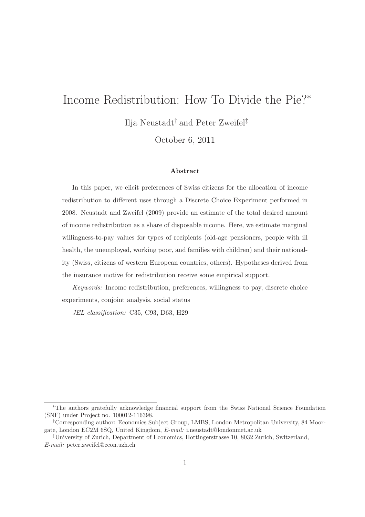# Income Redistribution: How To Divide the Pie?<sup>∗</sup>

Ilja Neustadt† and Peter Zweifel‡

October 6, 2011

#### Abstract

In this paper, we elicit preferences of Swiss citizens for the allocation of income redistribution to different uses through a Discrete Choice Experiment performed in 2008. Neustadt and Zweifel (2009) provide an estimate of the total desired amount of income redistribution as a share of disposable income. Here, we estimate marginal willingness-to-pay values for types of recipients (old-age pensioners, people with ill health, the unemployed, working poor, and families with children) and their nationality (Swiss, citizens of western European countries, others). Hypotheses derived from the insurance motive for redistribution receive some empirical support.

Keywords: Income redistribution, preferences, willingness to pay, discrete choice experiments, conjoint analysis, social status

JEL classification: C35, C93, D63, H29

<sup>∗</sup>The authors gratefully acknowledge financial support from the Swiss National Science Foundation (SNF) under Project no. 100012-116398.

<sup>†</sup>Corresponding author: Economics Subject Group, LMBS, London Metropolitan University, 84 Moorgate, London EC2M 6SQ, United Kingdom, E-mail: i.neustadt@londonmet.ac.uk

<sup>‡</sup>University of Zurich, Department of Economics, Hottingerstrasse 10, 8032 Zurich, Switzerland, E-mail: peter.zweifel@econ.uzh.ch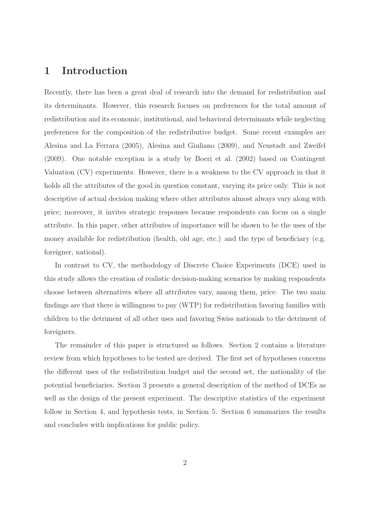### 1 Introduction

Recently, there has been a great deal of research into the demand for redistribution and its determinants. However, this research focuses on preferences for the total amount of redistribution and its economic, institutional, and behavioral determinants while neglecting preferences for the composition of the redistributive budget. Some recent examples are Alesina and La Ferrara (2005), Alesina and Giuliano (2009), and Neustadt and Zweifel (2009). One notable exception is a study by Boeri et al. (2002) based on Contingent Valuation (CV) experiments. However, there is a weakness to the CV approach in that it holds all the attributes of the good in question constant, varying its price only. This is not descriptive of actual decision making where other attributes almost always vary along with price; moreover, it invites strategic responses because respondents can focus on a single attribute. In this paper, other attributes of importance will be shown to be the uses of the money available for redistribution (health, old age, etc.) and the type of beneficiary (e.g. foreigner, national).

In contrast to CV, the methodology of Discrete Choice Experiments (DCE) used in this study allows the creation of realistic decision-making scenarios by making respondents choose between alternatives where all attributes vary, among them, price. The two main findings are that there is willingness to pay (WTP) for redistribution favoring families with children to the detriment of all other uses and favoring Swiss nationals to the detriment of foreigners.

The remainder of this paper is structured as follows. Section 2 contains a literature review from which hypotheses to be tested are derived. The first set of hypotheses concerns the different uses of the redistribution budget and the second set, the nationality of the potential beneficiaries. Section 3 presents a general description of the method of DCEs as well as the design of the present experiment. The descriptive statistics of the experiment follow in Section 4, and hypothesis tests, in Section 5. Section 6 summarizes the results and concludes with implications for public policy.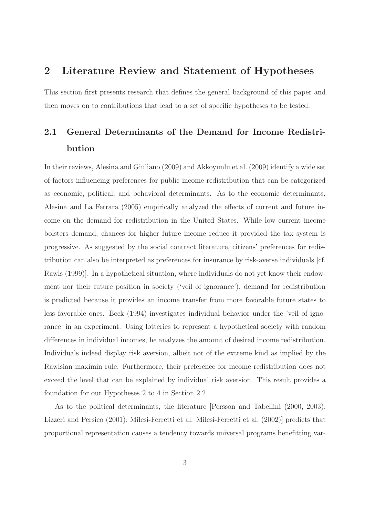## 2 Literature Review and Statement of Hypotheses

This section first presents research that defines the general background of this paper and then moves on to contributions that lead to a set of specific hypotheses to be tested.

## 2.1 General Determinants of the Demand for Income Redistribution

In their reviews, Alesina and Giuliano (2009) and Akkoyunlu et al. (2009) identify a wide set of factors influencing preferences for public income redistribution that can be categorized as economic, political, and behavioral determinants. As to the economic determinants, Alesina and La Ferrara (2005) empirically analyzed the effects of current and future income on the demand for redistribution in the United States. While low current income bolsters demand, chances for higher future income reduce it provided the tax system is progressive. As suggested by the social contract literature, citizens' preferences for redistribution can also be interpreted as preferences for insurance by risk-averse individuals [cf. Rawls (1999)]. In a hypothetical situation, where individuals do not yet know their endowment nor their future position in society ('veil of ignorance'), demand for redistribution is predicted because it provides an income transfer from more favorable future states to less favorable ones. Beck (1994) investigates individual behavior under the 'veil of ignorance' in an experiment. Using lotteries to represent a hypothetical society with random differences in individual incomes, he analyzes the amount of desired income redistribution. Individuals indeed display risk aversion, albeit not of the extreme kind as implied by the Rawlsian maximin rule. Furthermore, their preference for income redistribution does not exceed the level that can be explained by individual risk aversion. This result provides a foundation for our Hypotheses 2 to 4 in Section 2.2.

As to the political determinants, the literature [Persson and Tabellini (2000, 2003); Lizzeri and Persico (2001); Milesi-Ferretti et al. Milesi-Ferretti et al. (2002)] predicts that proportional representation causes a tendency towards universal programs benefitting var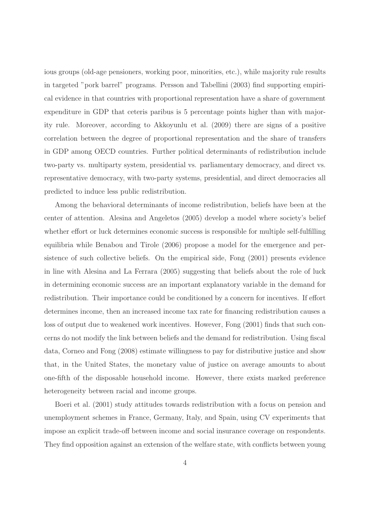ious groups (old-age pensioners, working poor, minorities, etc.), while majority rule results in targeted "pork barrel" programs. Persson and Tabellini (2003) find supporting empirical evidence in that countries with proportional representation have a share of government expenditure in GDP that ceteris paribus is 5 percentage points higher than with majority rule. Moreover, according to Akkoyunlu et al. (2009) there are signs of a positive correlation between the degree of proportional representation and the share of transfers in GDP among OECD countries. Further political determinants of redistribution include two-party vs. multiparty system, presidential vs. parliamentary democracy, and direct vs. representative democracy, with two-party systems, presidential, and direct democracies all predicted to induce less public redistribution.

Among the behavioral determinants of income redistribution, beliefs have been at the center of attention. Alesina and Angeletos (2005) develop a model where society's belief whether effort or luck determines economic success is responsible for multiple self-fulfilling equilibria while Benabou and Tirole (2006) propose a model for the emergence and persistence of such collective beliefs. On the empirical side, Fong (2001) presents evidence in line with Alesina and La Ferrara (2005) suggesting that beliefs about the role of luck in determining economic success are an important explanatory variable in the demand for redistribution. Their importance could be conditioned by a concern for incentives. If effort determines income, then an increased income tax rate for financing redistribution causes a loss of output due to weakened work incentives. However, Fong (2001) finds that such concerns do not modify the link between beliefs and the demand for redistribution. Using fiscal data, Corneo and Fong (2008) estimate willingness to pay for distributive justice and show that, in the United States, the monetary value of justice on average amounts to about one-fifth of the disposable household income. However, there exists marked preference heterogeneity between racial and income groups.

Boeri et al. (2001) study attitudes towards redistribution with a focus on pension and unemployment schemes in France, Germany, Italy, and Spain, using CV experiments that impose an explicit trade-off between income and social insurance coverage on respondents. They find opposition against an extension of the welfare state, with conflicts between young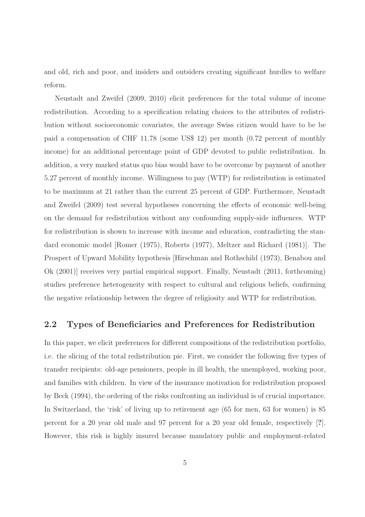and old, rich and poor, and insiders and outsiders creating significant hurdles to welfare reform.

Neustadt and Zweifel (2009, 2010) elicit preferences for the total volume of income redistribution. According to a specification relating choices to the attributes of redistribution without socioeconomic covariates, the average Swiss citizen would have to be be paid a compensation of CHF 11.78 (some US\$ 12) per month (0.72 percent of monthly income) for an additional percentage point of GDP devoted to public redistribution. In addition, a very marked status quo bias would have to be overcome by payment of another 5.27 percent of monthly income. Willingness to pay (WTP) for redistribution is estimated to be maximum at 21 rather than the current 25 percent of GDP. Furthermore, Neustadt and Zweifel (2009) test several hypotheses concerning the effects of economic well-being on the demand for redistribution without any confounding supply-side influences. WTP for redistribution is shown to increase with income and education, contradicting the standard economic model [Romer (1975), Roberts (1977), Meltzer and Richard (1981)]. The Prospect of Upward Mobility hypothesis [Hirschman and Rothschild (1973), Benabou and Ok (2001)] receives very partial empirical support. Finally, Neustadt (2011, forthcoming) studies preference heterogeneity with respect to cultural and religious beliefs, confirming the negative relationship between the degree of religiosity and WTP for redistribution.

#### 2.2 Types of Beneficiaries and Preferences for Redistribution

In this paper, we elicit preferences for different compositions of the redistribution portfolio, i.e. the slicing of the total redistribution pie. First, we consider the following five types of transfer recipients: old-age pensioners, people in ill health, the unemployed, working poor, and families with children. In view of the insurance motivation for redistribution proposed by Beck (1994), the ordering of the risks confronting an individual is of crucial importance. In Switzerland, the 'risk' of living up to retirement age (65 for men, 63 for women) is 85 percent for a 20 year old male and 97 percent for a 20 year old female, respectively [?]. However, this risk is highly insured because mandatory public and employment-related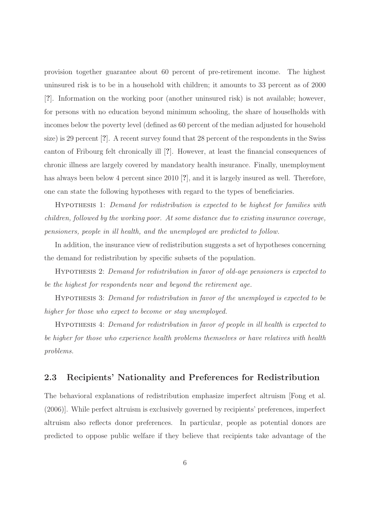provision together guarantee about 60 percent of pre-retirement income. The highest uninsured risk is to be in a household with children; it amounts to 33 percent as of 2000 [?]. Information on the working poor (another uninsured risk) is not available; however, for persons with no education beyond minimum schooling, the share of houselholds with incomes below the poverty level (defined as 60 percent of the median adjusted for household size) is 29 percent [?]. A recent survey found that 28 percent of the respondents in the Swiss canton of Fribourg felt chronically ill [?]. However, at least the financial consequences of chronic illness are largely covered by mandatory health insurance. Finally, unemployment has always been below 4 percent since 2010 [?], and it is largely insured as well. Therefore, one can state the following hypotheses with regard to the types of beneficiaries.

Hypothesis 1: Demand for redistribution is expected to be highest for families with children, followed by the working poor. At some distance due to existing insurance coverage, pensioners, people in ill health, and the unemployed are predicted to follow.

In addition, the insurance view of redistribution suggests a set of hypotheses concerning the demand for redistribution by specific subsets of the population.

Hypothesis 2: Demand for redistribution in favor of old-age pensioners is expected to be the highest for respondents near and beyond the retirement age.

Hypothesis 3: Demand for redistribution in favor of the unemployed is expected to be higher for those who expect to become or stay unemployed.

Hypothesis 4: Demand for redistribution in favor of people in ill health is expected to be higher for those who experience health problems themselves or have relatives with health problems.

### 2.3 Recipients' Nationality and Preferences for Redistribution

The behavioral explanations of redistribution emphasize imperfect altruism [Fong et al. (2006)]. While perfect altruism is exclusively governed by recipients' preferences, imperfect altruism also reflects donor preferences. In particular, people as potential donors are predicted to oppose public welfare if they believe that recipients take advantage of the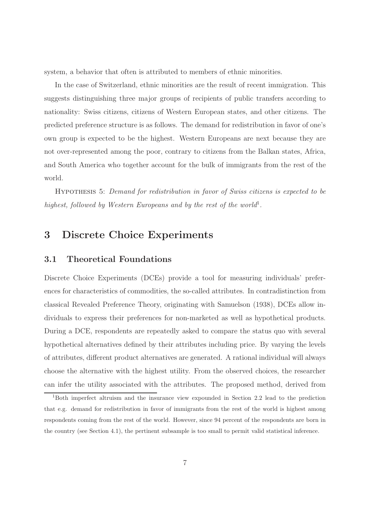system, a behavior that often is attributed to members of ethnic minorities.

In the case of Switzerland, ethnic minorities are the result of recent immigration. This suggests distinguishing three major groups of recipients of public transfers according to nationality: Swiss citizens, citizens of Western European states, and other citizens. The predicted preference structure is as follows. The demand for redistribution in favor of one's own group is expected to be the highest. Western Europeans are next because they are not over-represented among the poor, contrary to citizens from the Balkan states, Africa, and South America who together account for the bulk of immigrants from the rest of the world.

Hypothesis 5: Demand for redistribution in favor of Swiss citizens is expected to be highest, followed by Western Europeans and by the rest of the world<sup>1</sup>.

## 3 Discrete Choice Experiments

### 3.1 Theoretical Foundations

Discrete Choice Experiments (DCEs) provide a tool for measuring individuals' preferences for characteristics of commodities, the so-called attributes. In contradistinction from classical Revealed Preference Theory, originating with Samuelson (1938), DCEs allow individuals to express their preferences for non-marketed as well as hypothetical products. During a DCE, respondents are repeatedly asked to compare the status quo with several hypothetical alternatives defined by their attributes including price. By varying the levels of attributes, different product alternatives are generated. A rational individual will always choose the alternative with the highest utility. From the observed choices, the researcher can infer the utility associated with the attributes. The proposed method, derived from

<sup>1</sup>Both imperfect altruism and the insurance view expounded in Section 2.2 lead to the prediction that e.g. demand for redistribution in favor of immigrants from the rest of the world is highest among respondents coming from the rest of the world. However, since 94 percent of the respondents are born in the country (see Section 4.1), the pertinent subsample is too small to permit valid statistical inference.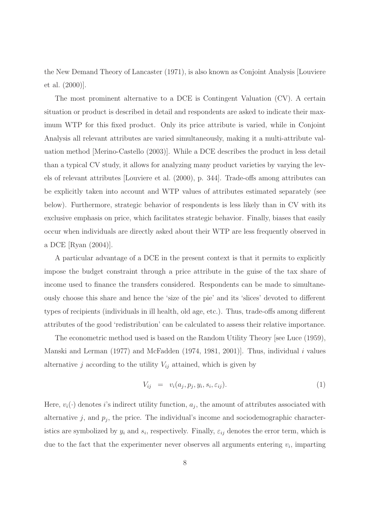the New Demand Theory of Lancaster (1971), is also known as Conjoint Analysis [Louviere et al. (2000)].

The most prominent alternative to a DCE is Contingent Valuation (CV). A certain situation or product is described in detail and respondents are asked to indicate their maximum WTP for this fixed product. Only its price attribute is varied, while in Conjoint Analysis all relevant attributes are varied simultaneously, making it a multi-attribute valuation method [Merino-Castello (2003)]. While a DCE describes the product in less detail than a typical CV study, it allows for analyzing many product varieties by varying the levels of relevant attributes [Louviere et al. (2000), p. 344]. Trade-offs among attributes can be explicitly taken into account and WTP values of attributes estimated separately (see below). Furthermore, strategic behavior of respondents is less likely than in CV with its exclusive emphasis on price, which facilitates strategic behavior. Finally, biases that easily occur when individuals are directly asked about their WTP are less frequently observed in a DCE [Ryan (2004)].

A particular advantage of a DCE in the present context is that it permits to explicitly impose the budget constraint through a price attribute in the guise of the tax share of income used to finance the transfers considered. Respondents can be made to simultaneously choose this share and hence the 'size of the pie' and its 'slices' devoted to different types of recipients (individuals in ill health, old age, etc.). Thus, trade-offs among different attributes of the good 'redistribution' can be calculated to assess their relative importance.

The econometric method used is based on the Random Utility Theory [see Luce (1959), Manski and Lerman (1977) and McFadden (1974, 1981, 2001). Thus, individual i values alternative j according to the utility  $V_{ij}$  attained, which is given by

$$
V_{ij} = v_i(a_j, p_j, y_i, s_i, \varepsilon_{ij}). \tag{1}
$$

Here,  $v_i(\cdot)$  denotes *i*'s indirect utility function,  $a_j$ , the amount of attributes associated with alternative  $j$ , and  $p_j$ , the price. The individual's income and sociodemographic characteristics are symbolized by  $y_i$  and  $s_i$ , respectively. Finally,  $\varepsilon_{ij}$  denotes the error term, which is due to the fact that the experimenter never observes all arguments entering  $v_i$ , imparting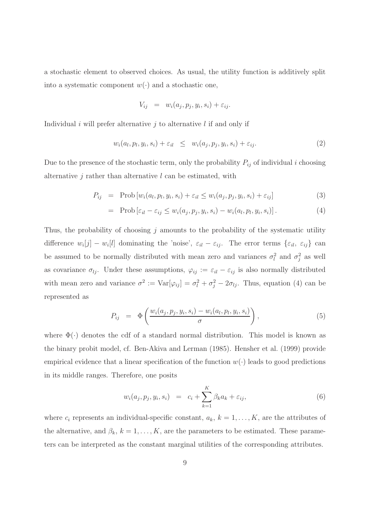a stochastic element to observed choices. As usual, the utility function is additively split into a systematic component  $w(\cdot)$  and a stochastic one,

$$
V_{ij} = w_i(a_j, p_j, y_i, s_i) + \varepsilon_{ij}.
$$

Individual i will prefer alternative j to alternative  $l$  if and only if

$$
w_i(a_l, p_l, y_i, s_i) + \varepsilon_{il} \leq w_i(a_j, p_j, y_i, s_i) + \varepsilon_{ij}.
$$
\n
$$
(2)
$$

Due to the presence of the stochastic term, only the probability  $P_{ij}$  of individual i choosing alternative  $j$  rather than alternative  $l$  can be estimated, with

$$
P_{ij} = \text{Prob}\left[w_i(a_l, p_l, y_i, s_i) + \varepsilon_{il} \le w_i(a_j, p_j, y_i, s_i) + \varepsilon_{ij}\right]
$$
\n(3)

$$
= \text{Prob}\left[\varepsilon_{il} - \varepsilon_{ij} \le w_i(a_j, p_j, y_i, s_i) - w_i(a_l, p_l, y_i, s_i)\right]. \tag{4}
$$

Thus, the probability of choosing  $j$  amounts to the probability of the systematic utility difference  $w_i[j] - w_i[l]$  dominating the 'noise',  $\varepsilon_{il} - \varepsilon_{ij}$ . The error terms  $\{\varepsilon_{il}, \varepsilon_{ij}\}$  can be assumed to be normally distributed with mean zero and variances  $\sigma_l^2$  $\ell_i^2$  and  $\sigma_j^2$  $j<sup>2</sup>$  as well as covariance  $\sigma_{lj}$ . Under these assumptions,  $\varphi_{ij} := \varepsilon_{il} - \varepsilon_{ij}$  is also normally distributed with mean zero and variance  $\sigma^2 := \text{Var}[\varphi_{ij}] = \sigma_i^2 + \sigma_j^2 - 2\sigma_{lj}$ . Thus, equation (4) can be represented as

$$
P_{ij} = \Phi\left(\frac{w_i(a_j, p_j, y_i, s_i) - w_i(a_l, p_l, y_i, s_i)}{\sigma}\right),\tag{5}
$$

where  $\Phi(\cdot)$  denotes the cdf of a standard normal distribution. This model is known as the binary probit model, cf. Ben-Akiva and Lerman (1985). Hensher et al. (1999) provide empirical evidence that a linear specification of the function  $w(\cdot)$  leads to good predictions in its middle ranges. Therefore, one posits

$$
w_i(a_j, p_j, y_i, s_i) = c_i + \sum_{k=1}^{K} \beta_k a_k + \varepsilon_{ij}, \qquad (6)
$$

where  $c_i$  represents an individual-specific constant,  $a_k$ ,  $k = 1, ..., K$ , are the attributes of the alternative, and  $\beta_k$ ,  $k = 1, \ldots, K$ , are the parameters to be estimated. These parameters can be interpreted as the constant marginal utilities of the corresponding attributes.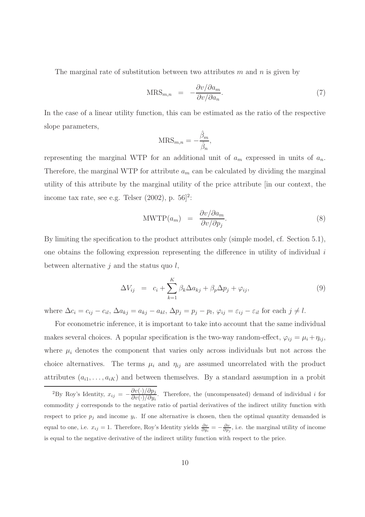The marginal rate of substitution between two attributes m and n is given by

$$
MRS_{m,n} = -\frac{\partial v/\partial a_m}{\partial v/\partial a_n}.
$$
\n(7)

In the case of a linear utility function, this can be estimated as the ratio of the respective slope parameters,

$$
\text{MRS}_{m,n} = -\frac{\hat{\beta}_m}{\hat{\beta}_n},
$$

representing the marginal WTP for an additional unit of  $a_m$  expressed in units of  $a_n$ . Therefore, the marginal WTP for attribute  $a_m$  can be calculated by dividing the marginal utility of this attribute by the marginal utility of the price attribute [in our context, the income tax rate, see e.g. Telser  $(2002)$ , p.  $56]$ <sup>2</sup>:

$$
\text{MWTP}(a_m) = \frac{\partial v/\partial a_m}{\partial v/\partial p_j}.
$$
\n(8)

By limiting the specification to the product attributes only (simple model, cf. Section 5.1), one obtains the following expression representing the difference in utility of individual  $i$ between alternative  $j$  and the status quo  $l$ ,

$$
\Delta V_{ij} = c_i + \sum_{k=1}^{K} \beta_k \Delta a_{kj} + \beta_p \Delta p_j + \varphi_{ij}, \qquad (9)
$$

where  $\Delta c_i = c_{ij} - c_{il}$ ,  $\Delta a_{kj} = a_{kj} - a_{kl}$ ,  $\Delta p_j = p_j - p_l$ ,  $\varphi_{ij} = \varepsilon_{ij} - \varepsilon_{il}$  for each  $j \neq l$ .

For econometric inference, it is important to take into account that the same individual makes several choices. A popular specification is the two-way random-effect,  $\varphi_{ij} = \mu_i + \eta_{ij}$ , where  $\mu_i$  denotes the component that varies only across individuals but not across the choice alternatives. The terms  $\mu_i$  and  $\eta_{ij}$  are assumed uncorrelated with the product attributes  $(a_{i1}, \ldots, a_{iK})$  and between themselves. By a standard assumption in a probit

<sup>&</sup>lt;sup>2</sup>By Roy's Identity,  $x_{ij} = -\frac{\partial v(\cdot)/\partial p_j}{\partial v(\cdot)/\partial w_j}$  $\frac{\partial v(y/\partial p_j)}{\partial v(x)/\partial y_i}$ . Therefore, the (uncompensated) demand of individual *i* for commodity j corresponds to the negative ratio of partial derivatives of the indirect utility function with respect to price  $p_j$  and income  $y_i$ . If one alternative is chosen, then the optimal quantity demanded is equal to one, i.e.  $x_{ij} = 1$ . Therefore, Roy's Identity yields  $\frac{\partial v}{\partial y_i} = -\frac{\partial v}{\partial p_j}$ , i.e. the marginal utility of income is equal to the negative derivative of the indirect utility function with respect to the price.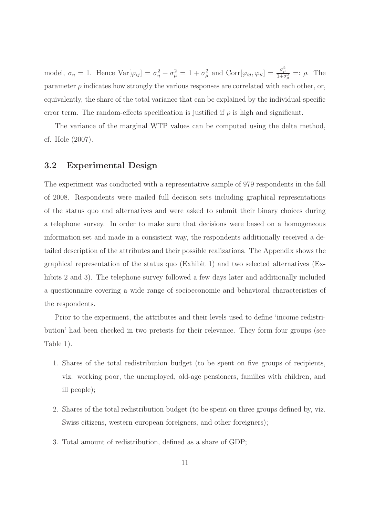model,  $\sigma_{\eta} = 1$ . Hence  $Var[\varphi_{ij}] = \sigma_{\eta}^2 + \sigma_{\mu}^2 = 1 + \sigma_{\mu}^2$ <sup>2</sup>/<sub>μ</sub> and Corr[ $\varphi_{ij}, \varphi_{il}$ ] =  $\frac{\sigma_{\mu}^2}{1+\sigma_{\mu}^2}$  =:  $\rho$ . The parameter  $\rho$  indicates how strongly the various responses are correlated with each other, or, equivalently, the share of the total variance that can be explained by the individual-specific error term. The random-effects specification is justified if  $\rho$  is high and significant.

The variance of the marginal WTP values can be computed using the delta method, cf. Hole (2007).

### 3.2 Experimental Design

The experiment was conducted with a representative sample of 979 respondents in the fall of 2008. Respondents were mailed full decision sets including graphical representations of the status quo and alternatives and were asked to submit their binary choices during a telephone survey. In order to make sure that decisions were based on a homogeneous information set and made in a consistent way, the respondents additionally received a detailed description of the attributes and their possible realizations. The Appendix shows the graphical representation of the status quo (Exhibit 1) and two selected alternatives (Exhibits 2 and 3). The telephone survey followed a few days later and additionally included a questionnaire covering a wide range of socioeconomic and behavioral characteristics of the respondents.

Prior to the experiment, the attributes and their levels used to define 'income redistribution' had been checked in two pretests for their relevance. They form four groups (see Table 1).

- 1. Shares of the total redistribution budget (to be spent on five groups of recipients, viz. working poor, the unemployed, old-age pensioners, families with children, and ill people);
- 2. Shares of the total redistribution budget (to be spent on three groups defined by, viz. Swiss citizens, western european foreigners, and other foreigners);
- 3. Total amount of redistribution, defined as a share of GDP;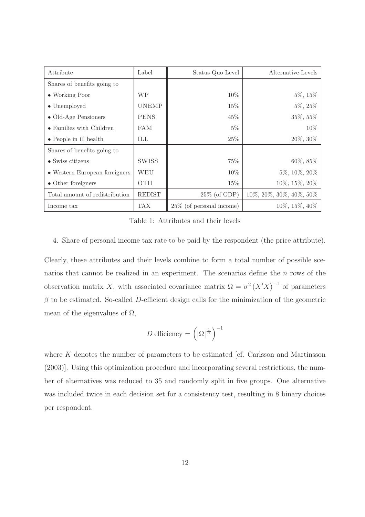| Attribute                        | Label         | Status Quo Level            | Alternative Levels      |
|----------------------------------|---------------|-----------------------------|-------------------------|
| Shares of benefits going to      |               |                             |                         |
| $\bullet$ Working Poor           | <b>WP</b>     | $10\%$                      | $5\%, 15\%$             |
| $\bullet$ Unemployed             | <b>UNEMP</b>  | 15%                         | $5\%, 25\%$             |
| $\bullet$ Old-Age Pensioners     | <b>PENS</b>   | 45\%                        | 35%, 55%                |
| $\bullet$ Families with Children | <b>FAM</b>    | $5\%$                       | 10%                     |
| $\bullet$ People in ill health   | ILL           | 25%                         | $20\%,\,30\%$           |
| Shares of benefits going to      |               |                             |                         |
| $\bullet$ Swiss citizens         | <b>SWISS</b>  | 75%                         | $60\%, 85\%$            |
| • Western European foreigners    | WEU           | $10\%$                      | 5%, 10%, 20%            |
| • Other foreigners               | <b>OTH</b>    | 15%                         | 10%, 15%, 20%           |
| Total amount of redistribution   | <b>REDIST</b> | $25\%$ (of GDP)             | 10%, 20%, 30%, 40%, 50% |
| Income tax                       | <b>TAX</b>    | $25\%$ (of personal income) | 10%, 15%, 40%           |

Table 1: Attributes and their levels

#### 4. Share of personal income tax rate to be paid by the respondent (the price attribute).

Clearly, these attributes and their levels combine to form a total number of possible scenarios that cannot be realized in an experiment. The scenarios define the  $n$  rows of the observation matrix X, with associated covariance matrix  $\Omega = \sigma^2 (X'X)^{-1}$  of parameters  $\beta$  to be estimated. So-called D-efficient design calls for the minimization of the geometric mean of the eigenvalues of  $\Omega$ ,

$$
D \text{ efficiency} = \left( |\Omega|^{\frac{1}{K}} \right)^{-1}
$$

where  $K$  denotes the number of parameters to be estimated [cf. Carlsson and Martinsson (2003)]. Using this optimization procedure and incorporating several restrictions, the number of alternatives was reduced to 35 and randomly split in five groups. One alternative was included twice in each decision set for a consistency test, resulting in 8 binary choices per respondent.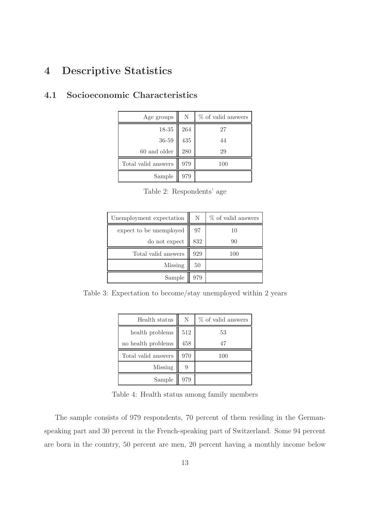## 4 Descriptive Statistics

| Age groups                                                  | N          | % of valid answers |
|-------------------------------------------------------------|------------|--------------------|
|                                                             | <b>264</b> | 27                 |
| $\begin{array}{c} 18\text{-}35 \\ 36\text{-}59 \end{array}$ | $435\,$    | 44                 |
| $60$ and older                                              | 280        | 29                 |
| Total valid answers                                         | 979        | 100                |
| Sample                                                      | 979        |                    |

## 4.1 Socioeconomic Characteristics

|  | Table 2: Respondents' age |  |
|--|---------------------------|--|
|--|---------------------------|--|

| Unemployment expectation | N   | % of valid answers |
|--------------------------|-----|--------------------|
| expect to be unemployed  | 97  | 10                 |
| do not expect            | 832 | 90                 |
| Total valid answers      | 929 | 100                |
| Missing                  | 50  |                    |
| Sample                   | 979 |                    |

Table 3: Expectation to become/stay unemployed within 2 years

| Health status       | N   | % of valid answers |
|---------------------|-----|--------------------|
| health problems     | 512 | 53                 |
| no health problems  | 458 | 47                 |
| Total valid answers | 970 | 100                |
| Missing             | 9   |                    |
| Sample              | 979 |                    |

Table 4: Health status among family members

The sample consists of 979 respondents, 70 percent of them residing in the Germanspeaking part and 30 percent in the French-speaking part of Switzerland. Some 94 percent are born in the country, 50 percent are men, 20 percent having a monthly income below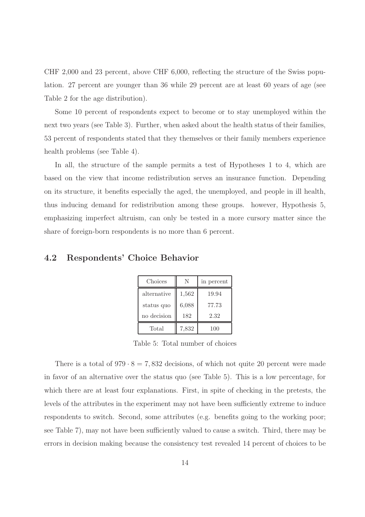CHF 2,000 and 23 percent, above CHF 6,000, reflecting the structure of the Swiss population. 27 percent are younger than 36 while 29 percent are at least 60 years of age (see Table 2 for the age distribution).

Some 10 percent of respondents expect to become or to stay unemployed within the next two years (see Table 3). Further, when asked about the health status of their families, 53 percent of respondents stated that they themselves or their family members experience health problems (see Table 4).

In all, the structure of the sample permits a test of Hypotheses 1 to 4, which are based on the view that income redistribution serves an insurance function. Depending on its structure, it benefits especially the aged, the unemployed, and people in ill health, thus inducing demand for redistribution among these groups. however, Hypothesis 5, emphasizing imperfect altruism, can only be tested in a more cursory matter since the share of foreign-born respondents is no more than 6 percent.

#### 4.2 Respondents' Choice Behavior

| Choices     | N     | in percent |
|-------------|-------|------------|
| alternative | 1,562 | 19.94      |
| status quo  | 6,088 | 77.73      |
| no decision | 182   | 2.32       |
| Total       | 7,832 | 100        |

Table 5: Total number of choices

There is a total of  $979 \cdot 8 = 7,832$  decisions, of which not quite 20 percent were made in favor of an alternative over the status quo (see Table 5). This is a low percentage, for which there are at least four explanations. First, in spite of checking in the pretests, the levels of the attributes in the experiment may not have been sufficiently extreme to induce respondents to switch. Second, some attributes (e.g. benefits going to the working poor; see Table 7), may not have been sufficiently valued to cause a switch. Third, there may be errors in decision making because the consistency test revealed 14 percent of choices to be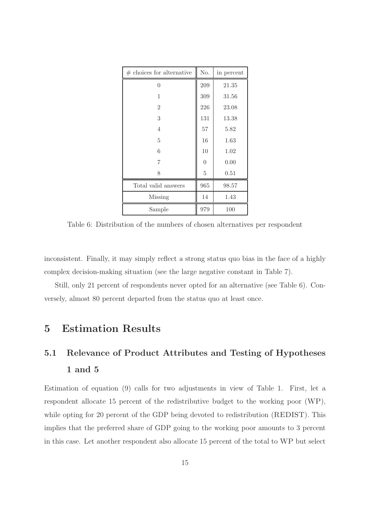| $#$ choices for alternative | No.            | in percent |
|-----------------------------|----------------|------------|
| $\theta$                    | 209            | 21.35      |
| 1                           | 309            | 31.56      |
| $\overline{2}$              | 226            | 23.08      |
| 3                           | 131            | 13.38      |
| 4                           | 57             | 5.82       |
| 5                           | 16             | 1.63       |
| 6                           | 10             | 1.02       |
| 7                           | $\overline{0}$ | 0.00       |
| 8                           | 5              | 0.51       |
| Total valid answers         | 965            | 98.57      |
| Missing                     | 14             | 1.43       |
| Sample                      | 979            | 100        |

Table 6: Distribution of the numbers of chosen alternatives per respondent

inconsistent. Finally, it may simply reflect a strong status quo bias in the face of a highly complex decision-making situation (see the large negative constant in Table 7).

Still, only 21 percent of respondents never opted for an alternative (see Table 6). Conversely, almost 80 percent departed from the status quo at least once.

## 5 Estimation Results

## 5.1 Relevance of Product Attributes and Testing of Hypotheses 1 and 5

Estimation of equation (9) calls for two adjustments in view of Table 1. First, let a respondent allocate 15 percent of the redistributive budget to the working poor (WP), while opting for 20 percent of the GDP being devoted to redistribution (REDIST). This implies that the preferred share of GDP going to the working poor amounts to 3 percent in this case. Let another respondent also allocate 15 percent of the total to WP but select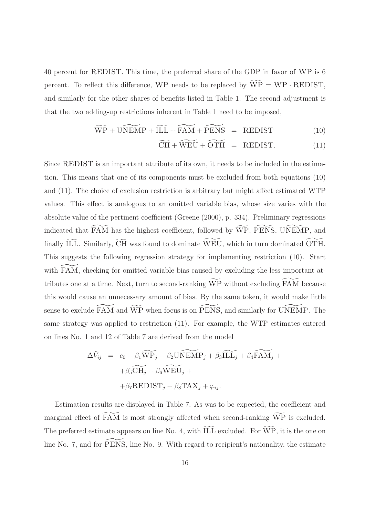40 percent for REDIST. This time, the preferred share of the GDP in favor of WP is 6 percent. To reflect this difference, WP needs to be replaced by  $\widetilde{WP} = WP \cdot REDIST$ , and similarly for the other shares of benefits listed in Table 1. The second adjustment is that the two adding-up restrictions inherent in Table 1 need to be imposed,

$$
\widetilde{\text{WP}} + \widetilde{\text{UNEMP}} + \widetilde{\text{ILL}} + \widetilde{\text{FAM}} + \widetilde{\text{PENS}} = \text{REDIST} \tag{10}
$$

$$
\widetilde{\text{CH}} + \widetilde{\text{WEU}} + \widetilde{\text{OTH}} = \text{REDIST.} \tag{11}
$$

Since REDIST is an important attribute of its own, it needs to be included in the estimation. This means that one of its components must be excluded from both equations (10) and (11). The choice of exclusion restriction is arbitrary but might affect estimated WTP values. This effect is analogous to an omitted variable bias, whose size varies with the absolute value of the pertinent coefficient (Greene (2000), p. 334). Preliminary regressions indicated that  $\widetilde{FAM}$  has the highest coefficient, followed by  $\widetilde{WP}$ ,  $\widetilde{PENS}$ , UNEMP, and finally ILL. Similarly,  $\overline{CH}$  was found to dominate WEU, which in turn dominated OTH. This suggests the following regression strategy for implementing restriction (10). Start with FAM, checking for omitted variable bias caused by excluding the less important attributes one at a time. Next, turn to second-ranking  $\widetilde{WP}$  without excluding  $\widetilde{FAM}$  because this would cause an unnecessary amount of bias. By the same token, it would make little sense to exclude  $\widetilde{\text{FAM}}$  and  $\widetilde{\text{WP}}$  when focus is on  $\widetilde{\text{PENS}}$ , and similarly for UNEMP. The same strategy was applied to restriction (11). For example, the WTP estimates entered on lines No. 1 and 12 of Table 7 are derived from the model

$$
\Delta \tilde{V}_{ij} = c_0 + \beta_1 \widetilde{WP}_j + \beta_2 \widetilde{UNEMP}_j + \beta_3 \widetilde{ILL}_j + \beta_4 \widetilde{FAM}_j +
$$

$$
+ \beta_5 \widetilde{CH}_j + \beta_6 \widetilde{WEU}_j +
$$

$$
+ \beta_7 \text{REDIST}_j + \beta_8 \text{TAX}_j + \varphi_{ij}.
$$

Estimation results are displayed in Table 7. As was to be expected, the coefficient and marginal effect of  $\widetilde{FAM}$  is most strongly affected when second-ranking  $\widetilde{WP}$  is excluded. The preferred estimate appears on line No. 4, with ILL excluded. For WP, it is the one on line No. 7, and for  $\widetilde{\text{PENS}}$ , line No. 9. With regard to recipient's nationality, the estimate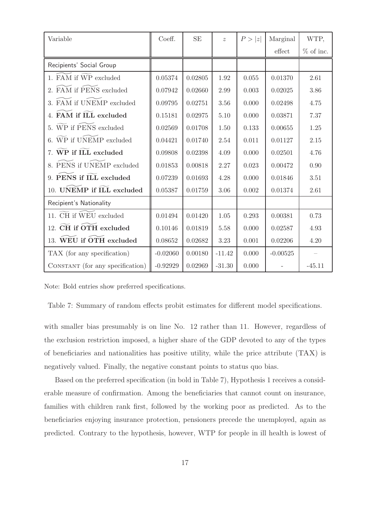| Variable                         | Coeff.     | <b>SE</b> | $\widetilde{\mathcal{Z}}$ | P >  z | Marginal   | WTP,        |
|----------------------------------|------------|-----------|---------------------------|--------|------------|-------------|
|                                  |            |           |                           |        | effect     | $%$ of inc. |
| Recipients' Social Group         |            |           |                           |        |            |             |
| 1. FAM if WP excluded            | 0.05374    | 0.02805   | 1.92                      | 0.055  | 0.01370    | 2.61        |
| FAM if PENS excluded<br>2.       | 0.07942    | 0.02660   | 2.99                      | 0.003  | 0.02025    | 3.86        |
| 3. FAM if UNEMP excluded         | 0.09795    | 0.02751   | 3.56                      | 0.000  | 0.02498    | 4.75        |
| FAM if ILL excluded              | 0.15181    | 0.02975   | 5.10                      | 0.000  | 0.03871    | 7.37        |
| 5. WP if PENS excluded           | 0.02569    | 0.01708   | 1.50                      | 0.133  | 0.00655    | 1.25        |
| WP if UNEMP excluded             | 0.04421    | 0.01740   | 2.54                      | 0.011  | 0.01127    | 2.15        |
| 7. WP if ILL excluded            | 0.09808    | 0.02398   | 4.09                      | 0.000  | 0.02501    | 4.76        |
| 8. PENS if UNEMP excluded        | 0.01853    | 0.00818   | 2.27                      | 0.023  | 0.00472    | 0.90        |
| 9. PENS if ILL excluded          | 0.07239    | 0.01693   | 4.28                      | 0.000  | 0.01846    | 3.51        |
| 10. UNEMP if ILL excluded        | 0.05387    | 0.01759   | 3.06                      | 0.002  | 0.01374    | 2.61        |
| Recipient's Nationality          |            |           |                           |        |            |             |
| 11. CH if WEU excluded           | 0.01494    | 0.01420   | 1.05                      | 0.293  | 0.00381    | 0.73        |
| 12. CH if OTH excluded           | 0.10146    | 0.01819   | 5.58                      | 0.000  | 0.02587    | 4.93        |
| 13. WEU if OTH excluded          | 0.08652    | 0.02682   | 3.23                      | 0.001  | 0.02206    | 4.20        |
| TAX (for any specification)      | $-0.02060$ | 0.00180   | $-11.42$                  | 0.000  | $-0.00525$ |             |
| CONSTANT (for any specification) | $-0.92929$ | 0.02969   | $-31.30$                  | 0.000  |            | $-45.11$    |

Note: Bold entries show preferred specifications.

Table 7: Summary of random effects probit estimates for different model specifications.

with smaller bias presumably is on line No. 12 rather than 11. However, regardless of the exclusion restriction imposed, a higher share of the GDP devoted to any of the types of beneficiaries and nationalities has positive utility, while the price attribute (TAX) is negatively valued. Finally, the negative constant points to status quo bias.

Based on the preferred specification (in bold in Table 7), Hypothesis 1 receives a considerable measure of confirmation. Among the beneficiaries that cannot count on insurance, families with children rank first, followed by the working poor as predicted. As to the beneficiaries enjoying insurance protection, pensioners precede the unemployed, again as predicted. Contrary to the hypothesis, however, WTP for people in ill health is lowest of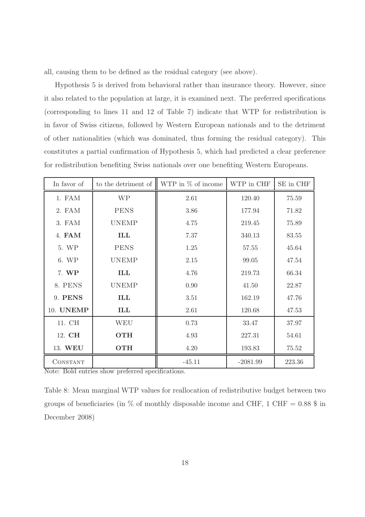all, causing them to be defined as the residual category (see above).

Hypothesis 5 is derived from behavioral rather than insurance theory. However, since it also related to the population at large, it is examined next. The preferred specifications (corresponding to lines 11 and 12 of Table 7) indicate that WTP for redistribution is in favor of Swiss citizens, followed by Western European nationals and to the detriment of other nationalities (which was dominated, thus forming the residual category). This constitutes a partial confirmation of Hypothesis 5, which had predicted a clear preference for redistribution benefiting Swiss nationals over one benefiting Western Europeans.

| In favor of      | to the detriment of $\parallel$ | WTP in % of income | WTP in CHF | SE in CHF |
|------------------|---------------------------------|--------------------|------------|-----------|
| 1. FAM           | <b>WP</b>                       | 2.61               | 120.40     | 75.59     |
| 2. FAM           | <b>PENS</b>                     | 3.86               | 177.94     | 71.82     |
| 3. FAM           | <b>UNEMP</b>                    | 4.75               | 219.45     | 75.89     |
| 4. FAM           | ILL                             | 7.37               | 340.13     | 83.55     |
| 5. WP            | <b>PENS</b>                     | 1.25               | 57.55      | 45.64     |
| 6. WP            | <b>UNEMP</b>                    | 2.15               | 99.05      | 47.54     |
| 7. WP            | ILL                             | 4.76               | 219.73     | 66.34     |
| 8. PENS          | <b>UNEMP</b>                    | 0.90               | 41.50      | 22.87     |
| 9. PENS          | ILL                             | 3.51               | 162.19     | 47.76     |
| 10. <b>UNEMP</b> | ILL                             | 2.61               | 120.68     | 47.53     |
| 11. CH           | <b>WEU</b>                      | 0.73               | 33.47      | 37.97     |
| 12. CH           | <b>OTH</b>                      | 4.93               | 227.31     | 54.61     |
| 13. WEU          | <b>OTH</b>                      | 4.20               | 193.83     | 75.52     |
| CONSTANT         |                                 | $-45.11$           | $-2081.99$ | 223.36    |

Note: Bold entries show preferred specifications.

Table 8: Mean marginal WTP values for reallocation of redistributive budget between two groups of beneficiaries (in  $\%$  of monthly disposable income and CHF, 1 CHF = 0.88  $\%$  in December 2008)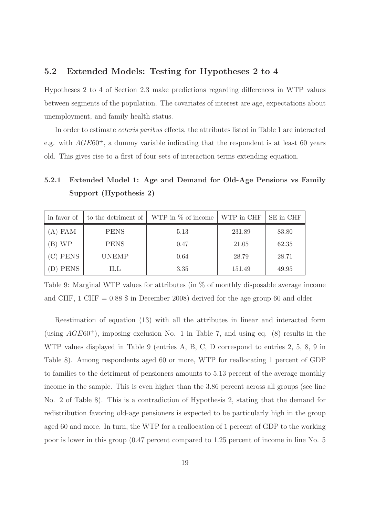### 5.2 Extended Models: Testing for Hypotheses 2 to 4

Hypotheses 2 to 4 of Section 2.3 make predictions regarding differences in WTP values between segments of the population. The covariates of interest are age, expectations about unemployment, and family health status.

In order to estimate ceteris paribus effects, the attributes listed in Table 1 are interacted e.g. with  $AGE60^+$ , a dummy variable indicating that the respondent is at least 60 years old. This gives rise to a first of four sets of interaction terms extending equation.

5.2.1 Extended Model 1: Age and Demand for Old-Age Pensions vs Family Support (Hypothesis 2)

| in favor of |              | to the detriment of $\parallel$ WTP in $\%$ of income $\parallel$ WTP in CHF |        | SE in CHF |
|-------------|--------------|------------------------------------------------------------------------------|--------|-----------|
| A) FAM      | <b>PENS</b>  | 5.13                                                                         | 231.89 | 83.80     |
| B) WP       | <b>PENS</b>  | 0.47                                                                         | 21.05  | 62.35     |
| C) PENS     | <b>UNEMP</b> | 0.64                                                                         | 28.79  | 28.71     |
| <b>PENS</b> | ILL          | 3.35                                                                         | 151.49 | 49.95     |

Table 9: Marginal WTP values for attributes (in % of monthly disposable average income and CHF, 1 CHF =  $0.88$  \$ in December 2008) derived for the age group 60 and older

Reestimation of equation (13) with all the attributes in linear and interacted form (using  $AGE60^+$ ), imposing exclusion No. 1 in Table 7, and using eq. (8) results in the WTP values displayed in Table 9 (entries A, B, C, D correspond to entries 2, 5, 8, 9 in Table 8). Among respondents aged 60 or more, WTP for reallocating 1 percent of GDP to families to the detriment of pensioners amounts to 5.13 percent of the average monthly income in the sample. This is even higher than the 3.86 percent across all groups (see line No. 2 of Table 8). This is a contradiction of Hypothesis 2, stating that the demand for redistribution favoring old-age pensioners is expected to be particularly high in the group aged 60 and more. In turn, the WTP for a reallocation of 1 percent of GDP to the working poor is lower in this group (0.47 percent compared to 1.25 percent of income in line No. 5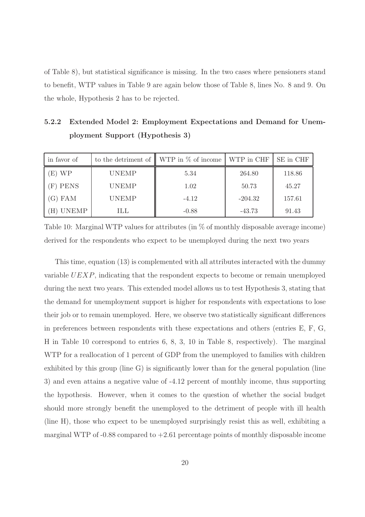of Table 8), but statistical significance is missing. In the two cases where pensioners stand to benefit, WTP values in Table 9 are again below those of Table 8, lines No. 8 and 9. On the whole, Hypothesis 2 has to be rejected.

5.2.2 Extended Model 2: Employment Expectations and Demand for Unemployment Support (Hypothesis 3)

| in favor of  |              | to the detriment of $\parallel$ WTP in $\%$ of income $\parallel$ WTP in CHF |           | SE in CHF |
|--------------|--------------|------------------------------------------------------------------------------|-----------|-----------|
| E) WP        | <b>UNEMP</b> | 5.34                                                                         | 264.80    | 118.86    |
| (F) PENS     | <b>UNEMP</b> | 1.02                                                                         | 50.73     | 45.27     |
| G) FAM       | <b>UNEMP</b> | $-4.12$                                                                      | $-204.32$ | 157.61    |
| <b>UNEMP</b> | ШL           | $-0.88$                                                                      | $-43.73$  | 91.43     |

Table 10: Marginal WTP values for attributes (in % of monthly disposable average income) derived for the respondents who expect to be unemployed during the next two years

This time, equation (13) is complemented with all attributes interacted with the dummy variable UEXP, indicating that the respondent expects to become or remain unemployed during the next two years. This extended model allows us to test Hypothesis 3, stating that the demand for unemployment support is higher for respondents with expectations to lose their job or to remain unemployed. Here, we observe two statistically significant differences in preferences between respondents with these expectations and others (entries E, F, G, H in Table 10 correspond to entries 6, 8, 3, 10 in Table 8, respectively). The marginal WTP for a reallocation of 1 percent of GDP from the unemployed to families with children exhibited by this group (line G) is significantly lower than for the general population (line 3) and even attains a negative value of -4.12 percent of monthly income, thus supporting the hypothesis. However, when it comes to the question of whether the social budget should more strongly benefit the unemployed to the detriment of people with ill health (line H), those who expect to be unemployed surprisingly resist this as well, exhibiting a marginal WTP of  $-0.88$  compared to  $+2.61$  percentage points of monthly disposable income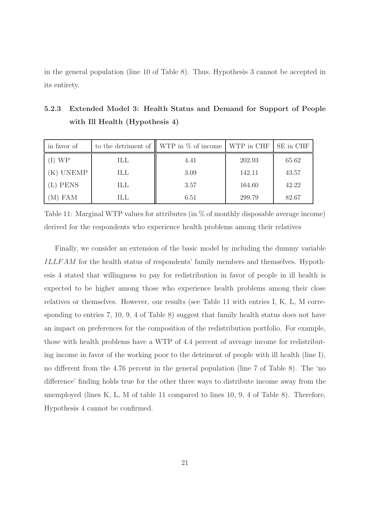in the general population (line 10 of Table 8). Thus, Hypothesis 3 cannot be accepted in its entirety.

| in favor of |     | to the detriment of $\parallel$ WTP in $\%$ of income $\mid$ WTP in CHF |        | SE in CHF |
|-------------|-----|-------------------------------------------------------------------------|--------|-----------|
| WP          | ILL | 4.41                                                                    | 202.93 | 65.62     |
| K) UNEMP    | ILL | 3.09                                                                    | 142.11 | 43.57     |
| (L) PENS    | ILL | 3.57                                                                    | 164.60 | 42.22     |
| (M) FAM     | ШL  | 6.51                                                                    | 299.79 | 82.67     |

5.2.3 Extended Model 3: Health Status and Demand for Support of People with Ill Health (Hypothesis 4)

Table 11: Marginal WTP values for attributes (in  $\%$  of monthly disposable average income) derived for the respondents who experience health problems among their relatives

Finally, we consider an extension of the basic model by including the dummy variable ILLF AM for the health status of respondents' family members and themselves. Hypothesis 4 stated that willingness to pay for redistribution in favor of people in ill health is expected to be higher among those who experience health problems among their close relatives or themselves. However, our results (see Table 11 with entries I, K, L, M corresponding to entries 7, 10, 9, 4 of Table 8) suggest that family health status does not have an impact on preferences for the composition of the redistribution portfolio. For example, those with health problems have a WTP of 4.4 percent of average income for redistributing income in favor of the working poor to the detriment of people with ill health (line I), no different from the 4.76 percent in the general population (line 7 of Table 8). The 'no difference' finding holds true for the other three ways to distribute income away from the unemployed (lines K, L, M of table 11 compared to lines 10, 9, 4 of Table 8). Therefore, Hypothesis 4 cannot be confirmed.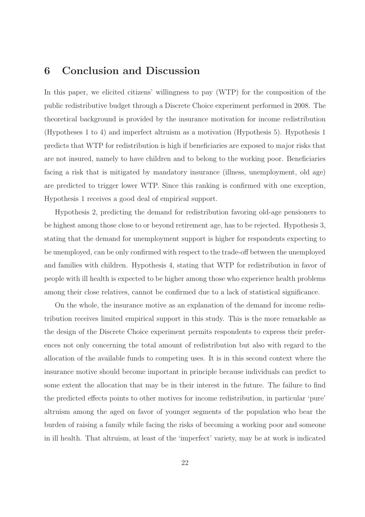### 6 Conclusion and Discussion

In this paper, we elicited citizens' willingness to pay (WTP) for the composition of the public redistributive budget through a Discrete Choice experiment performed in 2008. The theoretical background is provided by the insurance motivation for income redistribution (Hypotheses 1 to 4) and imperfect altruism as a motivation (Hypothesis 5). Hypothesis 1 predicts that WTP for redistribution is high if beneficiaries are exposed to major risks that are not insured, namely to have children and to belong to the working poor. Beneficiaries facing a risk that is mitigated by mandatory insurance (illness, unemployment, old age) are predicted to trigger lower WTP. Since this ranking is confirmed with one exception, Hypothesis 1 receives a good deal of empirical support.

Hypothesis 2, predicting the demand for redistribution favoring old-age pensioners to be highest among those close to or beyond retirement age, has to be rejected. Hypothesis 3, stating that the demand for unemployment support is higher for respondents expecting to be unemployed, can be only confirmed with respect to the trade-off between the unemployed and families with children. Hypothesis 4, stating that WTP for redistribution in favor of people with ill health is expected to be higher among those who experience health problems among their close relatives, cannot be confirmed due to a lack of statistical significance.

On the whole, the insurance motive as an explanation of the demand for income redistribution receives limited empirical support in this study. This is the more remarkable as the design of the Discrete Choice experiment permits respondents to express their preferences not only concerning the total amount of redistribution but also with regard to the allocation of the available funds to competing uses. It is in this second context where the insurance motive should become important in principle because individuals can predict to some extent the allocation that may be in their interest in the future. The failure to find the predicted effects points to other motives for income redistribution, in particular 'pure' altruism among the aged on favor of younger segments of the population who bear the burden of raising a family while facing the risks of becoming a working poor and someone in ill health. That altruism, at least of the 'imperfect' variety, may be at work is indicated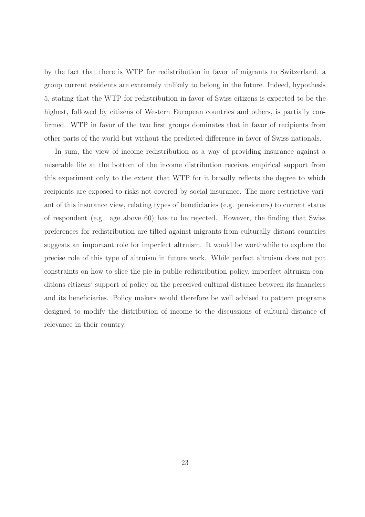by the fact that there is WTP for redistribution in favor of migrants to Switzerland, a group current residents are extremely unlikely to belong in the future. Indeed, hypothesis 5, stating that the WTP for redistribution in favor of Swiss citizens is expected to be the highest, followed by citizens of Western European countries and others, is partially confirmed. WTP in favor of the two first groups dominates that in favor of recipients from other parts of the world but without the predicted difference in favor of Swiss nationals.

In sum, the view of income redistribution as a way of providing insurance against a miserable life at the bottom of the income distribution receives empirical support from this experiment only to the extent that WTP for it broadly reflects the degree to which recipients are exposed to risks not covered by social insurance. The more restrictive variant of this insurance view, relating types of beneficiaries (e.g. pensioners) to current states of respondent (e.g. age above 60) has to be rejected. However, the finding that Swiss preferences for redistribution are tilted against migrants from culturally distant countries suggests an important role for imperfect altruism. It would be worthwhile to explore the precise role of this type of altruism in future work. While perfect altruism does not put constraints on how to slice the pie in public redistribution policy, imperfect altruism conditions citizens' support of policy on the perceived cultural distance between its financiers and its beneficiaries. Policy makers would therefore be well advised to pattern programs designed to modify the distribution of income to the discussions of cultural distance of relevance in their country.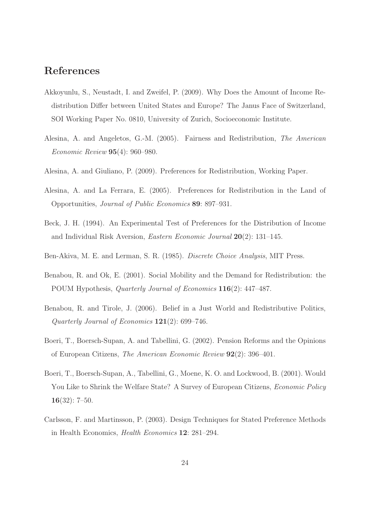## References

- Akkoyunlu, S., Neustadt, I. and Zweifel, P. (2009). Why Does the Amount of Income Redistribution Differ between United States and Europe? The Janus Face of Switzerland, SOI Working Paper No. 0810, University of Zurich, Socioeconomic Institute.
- Alesina, A. and Angeletos, G.-M. (2005). Fairness and Redistribution, The American Economic Review 95(4): 960–980.
- Alesina, A. and Giuliano, P. (2009). Preferences for Redistribution, Working Paper.
- Alesina, A. and La Ferrara, E. (2005). Preferences for Redistribution in the Land of Opportunities, Journal of Public Economics 89: 897–931.
- Beck, J. H. (1994). An Experimental Test of Preferences for the Distribution of Income and Individual Risk Aversion, Eastern Economic Journal 20(2): 131–145.
- Ben-Akiva, M. E. and Lerman, S. R. (1985). Discrete Choice Analysis, MIT Press.
- Benabou, R. and Ok, E. (2001). Social Mobility and the Demand for Redistribution: the POUM Hypothesis, Quarterly Journal of Economics 116(2): 447–487.
- Benabou, R. and Tirole, J. (2006). Belief in a Just World and Redistributive Politics, Quarterly Journal of Economics 121(2): 699–746.
- Boeri, T., Boersch-Supan, A. and Tabellini, G. (2002). Pension Reforms and the Opinions of European Citizens, The American Economic Review 92(2): 396–401.
- Boeri, T., Boersch-Supan, A., Tabellini, G., Moene, K. O. and Lockwood, B. (2001). Would You Like to Shrink the Welfare State? A Survey of European Citizens, *Economic Policy* 16(32): 7–50.
- Carlsson, F. and Martinsson, P. (2003). Design Techniques for Stated Preference Methods in Health Economics, Health Economics 12: 281–294.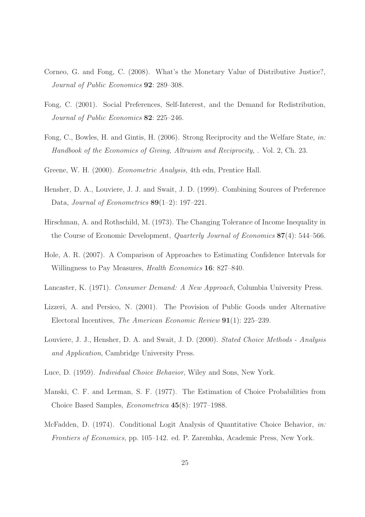- Corneo, G. and Fong, C. (2008). What's the Monetary Value of Distributive Justice?, Journal of Public Economics 92: 289–308.
- Fong, C. (2001). Social Preferences, Self-Interest, and the Demand for Redistribution, Journal of Public Economics 82: 225–246.
- Fong, C., Bowles, H. and Gintis, H. (2006). Strong Reciprocity and the Welfare State, in: Handbook of the Economics of Giving, Altruism and Reciprocity, . Vol. 2, Ch. 23.
- Greene, W. H. (2000). Econometric Analysis, 4th edn, Prentice Hall.
- Hensher, D. A., Louviere, J. J. and Swait, J. D. (1999). Combining Sources of Preference Data, Journal of Econometrics 89(1–2): 197–221.
- Hirschman, A. and Rothschild, M. (1973). The Changing Tolerance of Income Inequality in the Course of Economic Development, Quarterly Journal of Economics 87(4): 544–566.
- Hole, A. R. (2007). A Comparison of Approaches to Estimating Confidence Intervals for Willingness to Pay Measures, *Health Economics* **16**: 827–840.
- Lancaster, K. (1971). Consumer Demand: A New Approach, Columbia University Press.
- Lizzeri, A. and Persico, N. (2001). The Provision of Public Goods under Alternative Electoral Incentives, The American Economic Review 91(1): 225–239.
- Louviere, J. J., Hensher, D. A. and Swait, J. D. (2000). Stated Choice Methods Analysis and Application, Cambridge University Press.
- Luce, D. (1959). Individual Choice Behavior, Wiley and Sons, New York.
- Manski, C. F. and Lerman, S. F. (1977). The Estimation of Choice Probabilities from Choice Based Samples, Econometrica 45(8): 1977–1988.
- McFadden, D. (1974). Conditional Logit Analysis of Quantitative Choice Behavior, in: Frontiers of Economics, pp. 105–142. ed. P. Zarembka, Academic Press, New York.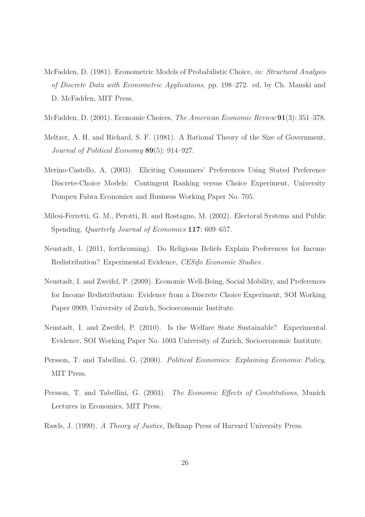- McFadden, D. (1981). Econometric Models of Probabilistic Choice, in: Structural Analysis of Discrete Data with Econometric Applications, pp. 198–272. ed. by Ch. Manski and D. McFadden, MIT Press.
- McFadden, D. (2001). Economic Choices, The American Economic Review 91(3): 351–378.
- Meltzer, A. H. and Richard, S. F. (1981). A Rational Theory of the Size of Government, Journal of Political Economy 89(5): 914–927.
- Merino-Castello, A. (2003). Eliciting Consumers' Preferences Using Stated Preference Discrete-Choice Models: Contingent Ranking versus Choice Experiment, University Pompeu Fabra Economics and Business Working Paper No. 705.
- Milesi-Ferretti, G. M., Perotti, R. and Rostagno, M. (2002). Electoral Systems and Public Spending, Quarterly Journal of Economics 117: 609–657.
- Neustadt, I. (2011, forthcoming). Do Religious Beliefs Explain Preferences for Income Redistribution? Experimental Evidence, CESifo Economic Studies .
- Neustadt, I. and Zweifel, P. (2009). Economic Well-Being, Social Mobility, and Preferences for Income Redistribution: Evidence from a Discrete Choice Experiment, SOI Working Paper 0909, University of Zurich, Socioeconomic Institute.
- Neustadt, I. and Zweifel, P. (2010). Is the Welfare State Sustainable? Experimental Evidence, SOI Working Paper No. 1003 University of Zurich, Socioeconomic Institute.
- Persson, T. and Tabellini, G. (2000). Political Economics: Explaining Economic Policy, MIT Press.
- Persson, T. and Tabellini, G. (2003). The Economic Effects of Constitutions, Munich Lectures in Economics, MIT Press.
- Rawls, J. (1999). A Theory of Justice, Belknap Press of Harvard University Press.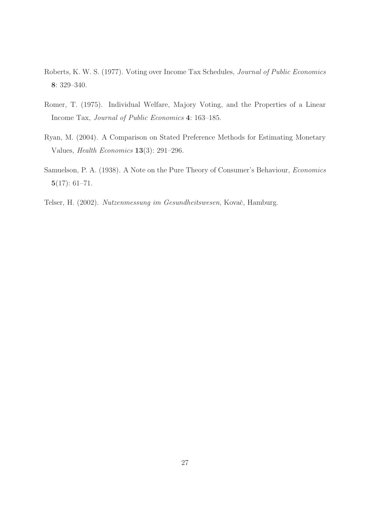- Roberts, K. W. S. (1977). Voting over Income Tax Schedules, Journal of Public Economics 8: 329–340.
- Romer, T. (1975). Individual Welfare, Majory Voting, and the Properties of a Linear Income Tax, Journal of Public Economics 4: 163–185.
- Ryan, M. (2004). A Comparison on Stated Preference Methods for Estimating Monetary Values, Health Economics 13(3): 291–296.
- Samuelson, P. A. (1938). A Note on the Pure Theory of Consumer's Behaviour, Economics  $5(17): 61-71.$
- Telser, H. (2002). Nutzenmessung im Gesundheitswesen, Kovač, Hamburg.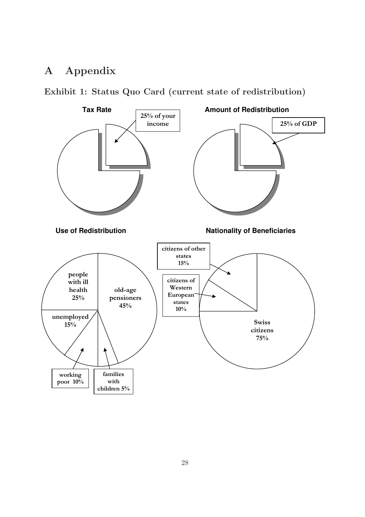## A Appendix



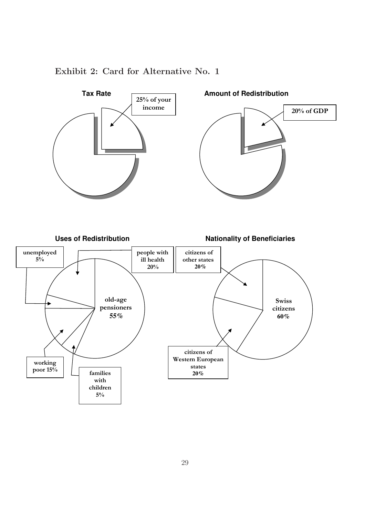

### Exhibit 2: Card for Alternative No. 1

 $\mathsf{r}$